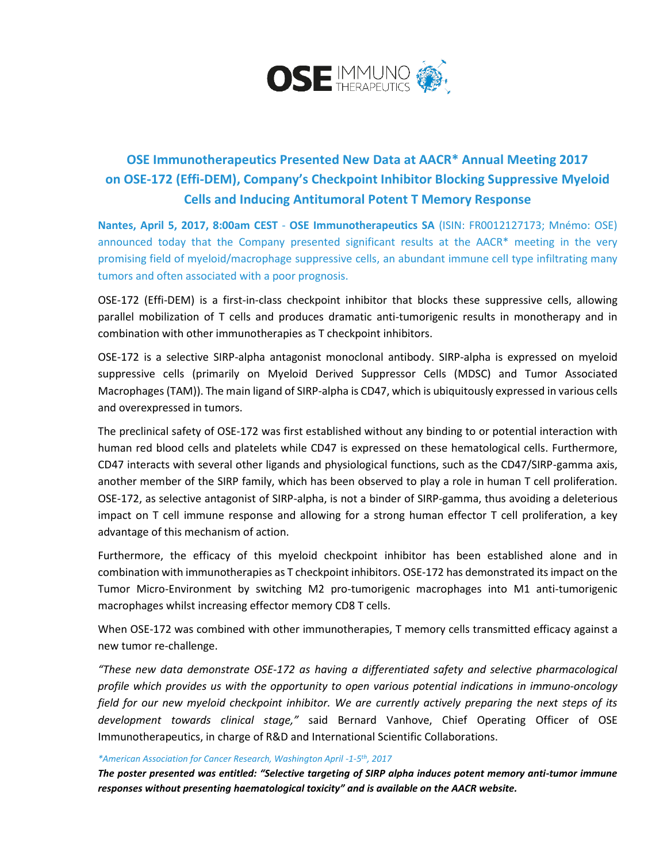

## **OSE Immunotherapeutics Presented New Data at AACR\* Annual Meeting 2017 on OSE-172 (Effi-DEM), Company's Checkpoint Inhibitor Blocking Suppressive Myeloid Cells and Inducing Antitumoral Potent T Memory Response**

**Nantes, April 5, 2017, 8:00am CEST** - **OSE Immunotherapeutics SA** (ISIN: FR0012127173; Mnémo: OSE) announced today that the Company presented significant results at the AACR\* meeting in the very promising field of myeloid/macrophage suppressive cells, an abundant immune cell type infiltrating many tumors and often associated with a poor prognosis.

OSE-172 (Effi-DEM) is a first-in-class checkpoint inhibitor that blocks these suppressive cells, allowing parallel mobilization of T cells and produces dramatic anti-tumorigenic results in monotherapy and in combination with other immunotherapies as T checkpoint inhibitors.

OSE-172 is a selective SIRP-alpha antagonist monoclonal antibody. SIRP-alpha is expressed on myeloid suppressive cells (primarily on Myeloid Derived Suppressor Cells (MDSC) and Tumor Associated Macrophages (TAM)). The main ligand of SIRP-alpha is CD47, which is ubiquitously expressed in various cells and overexpressed in tumors.

The preclinical safety of OSE-172 was first established without any binding to or potential interaction with human red blood cells and platelets while CD47 is expressed on these hematological cells. Furthermore, CD47 interacts with several other ligands and physiological functions, such as the CD47/SIRP-gamma axis, another member of the SIRP family, which has been observed to play a role in human T cell proliferation. OSE-172, as selective antagonist of SIRP-alpha, is not a binder of SIRP-gamma, thus avoiding a deleterious impact on T cell immune response and allowing for a strong human effector T cell proliferation, a key advantage of this mechanism of action.

Furthermore, the efficacy of this myeloid checkpoint inhibitor has been established alone and in combination with immunotherapies as T checkpoint inhibitors. OSE-172 has demonstrated its impact on the Tumor Micro-Environment by switching M2 pro-tumorigenic macrophages into M1 anti-tumorigenic macrophages whilst increasing effector memory CD8 T cells.

When OSE-172 was combined with other immunotherapies, T memory cells transmitted efficacy against a new tumor re-challenge.

*"These new data demonstrate OSE-172 as having a differentiated safety and selective pharmacological profile which provides us with the opportunity to open various potential indications in immuno-oncology field for our new myeloid checkpoint inhibitor. We are currently actively preparing the next steps of its development towards clinical stage,"* said Bernard Vanhove, Chief Operating Officer of OSE Immunotherapeutics, in charge of R&D and International Scientific Collaborations.

## *\*American Association for Cancer Research, Washington April -1-5 th, 2017*

*The poster presented was entitled: "Selective targeting of SIRP alpha induces potent memory anti-tumor immune responses without presenting haematological toxicity" and is available on th[e AACR website.](http://www.abstractsonline.com/pp8/#!/4292/session/954)*